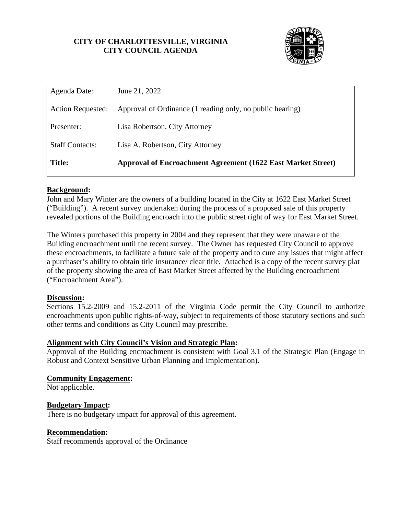## **CITY OF CHARLOTTESVILLE, VIRGINIA CITY COUNCIL AGENDA**



| Agenda Date:             | June 21, 2022                                                       |
|--------------------------|---------------------------------------------------------------------|
| <b>Action Requested:</b> | Approval of Ordinance (1 reading only, no public hearing)           |
| Presenter:               | Lisa Robertson, City Attorney                                       |
| <b>Staff Contacts:</b>   | Lisa A. Robertson, City Attorney                                    |
| <b>Title:</b>            | <b>Approval of Encroachment Agreement (1622 East Market Street)</b> |

## **Background:**

John and Mary Winter are the owners of a building located in the City at 1622 East Market Street ("Building"). A recent survey undertaken during the process of a proposed sale of this property revealed portions of the Building encroach into the public street right of way for East Market Street.

The Winters purchased this property in 2004 and they represent that they were unaware of the Building encroachment until the recent survey. The Owner has requested City Council to approve these encroachments, to facilitate a future sale of the property and to cure any issues that might affect a purchaser's ability to obtain title insurance/ clear title. Attached is a copy of the recent survey plat of the property showing the area of East Market Street affected by the Building encroachment ("Encroachment Area").

### **Discussion:**

Sections 15.2-2009 and 15.2-2011 of the Virginia Code permit the City Council to authorize encroachments upon public rights-of-way, subject to requirements of those statutory sections and such other terms and conditions as City Council may prescribe.

### **Alignment with City Council's Vision and Strategic Plan:**

Approval of the Building encroachment is consistent with Goal 3.1 of the Strategic Plan (Engage in Robust and Context Sensitive Urban Planning and Implementation).

### **Community Engagement:**

Not applicable.

## **Budgetary Impact:**

There is no budgetary impact for approval of this agreement.

### **Recommendation:**

Staff recommends approval of the Ordinance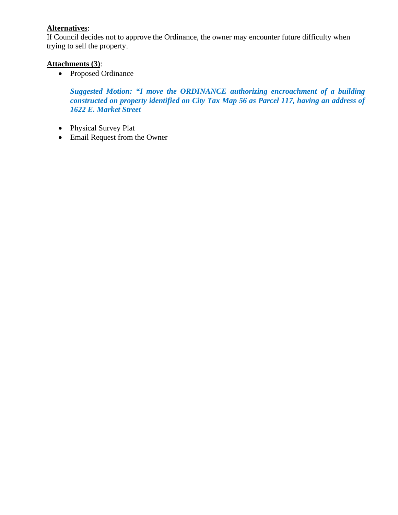# **Alternatives**:

If Council decides not to approve the Ordinance, the owner may encounter future difficulty when trying to sell the property.

## **Attachments (3)**:

• Proposed Ordinance

*Suggested Motion: "I move the ORDINANCE authorizing encroachment of a building constructed on property identified on City Tax Map 56 as Parcel 117, having an address of 1622 E. Market Street*

- Physical Survey Plat
- Email Request from the Owner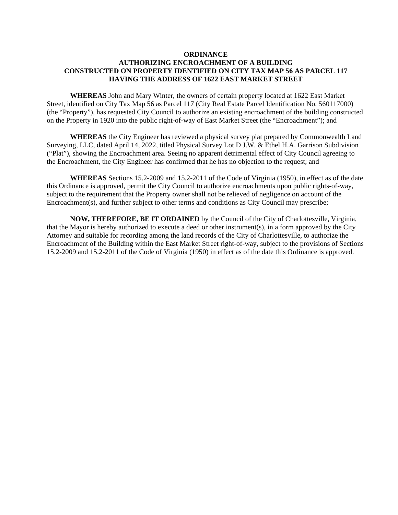#### **ORDINANCE**

### **AUTHORIZING ENCROACHMENT OF A BUILDING CONSTRUCTED ON PROPERTY IDENTIFIED ON CITY TAX MAP 56 AS PARCEL 117 HAVING THE ADDRESS OF 1622 EAST MARKET STREET**

**WHEREAS** John and Mary Winter, the owners of certain property located at 1622 East Market Street, identified on City Tax Map 56 as Parcel 117 (City Real Estate Parcel Identification No. 560117000) (the "Property"), has requested City Council to authorize an existing encroachment of the building constructed on the Property in 1920 into the public right-of-way of East Market Street (the "Encroachment"); and

**WHEREAS** the City Engineer has reviewed a physical survey plat prepared by Commonwealth Land Surveying, LLC, dated April 14, 2022, titled Physical Survey Lot D J.W. & Ethel H.A. Garrison Subdivision ("Plat"), showing the Encroachment area. Seeing no apparent detrimental effect of City Council agreeing to the Encroachment, the City Engineer has confirmed that he has no objection to the request; and

**WHEREAS** Sections 15.2-2009 and 15.2-2011 of the Code of Virginia (1950), in effect as of the date this Ordinance is approved, permit the City Council to authorize encroachments upon public rights-of-way, subject to the requirement that the Property owner shall not be relieved of negligence on account of the Encroachment(s), and further subject to other terms and conditions as City Council may prescribe;

**NOW, THEREFORE, BE IT ORDAINED** by the Council of the City of Charlottesville, Virginia, that the Mayor is hereby authorized to execute a deed or other instrument(s), in a form approved by the City Attorney and suitable for recording among the land records of the City of Charlottesville, to authorize the Encroachment of the Building within the East Market Street right-of-way, subject to the provisions of Sections 15.2-2009 and 15.2-2011 of the Code of Virginia (1950) in effect as of the date this Ordinance is approved.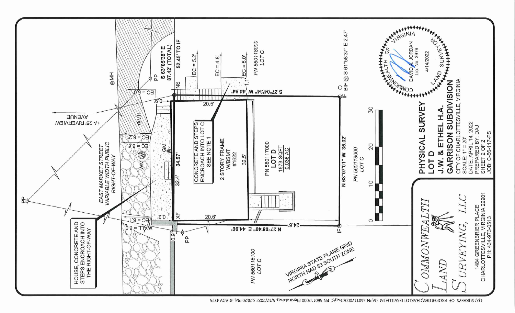

Q:\1SURVEYS OF PROPERTIES\CHARLOTTESVILLE\TM 56\PN 560117000\Dwg\C-PN 560117000 Physical.dwg, 5/17/2022 3:20:20 PM, iR-ADV 4725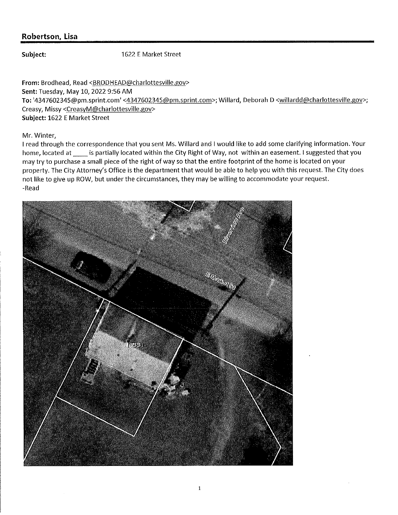## Robertson, Lisa

### Subject:

1622 E Market Street

From: Brodhead, Read <BRODHEAD@charlottesville.gov> Sent: Tuesday, May 10, 2022 9:56 AM To: '4347602345@pm.sprint.com' <4347602345@pm.sprint.com>; Willard, Deborah D <willardd@charlottesville.gov>; Creasy, Missy <CreasyM@charlottesville.gov> Subject: 1622 E Market Street

Mr. Winter,

I read through the correspondence that you sent Ms. Willard and I would like to add some clarifying information. Your home, located at \_\_\_\_\_ is partially located within the City Right of Way, not within an easement. I suggested that you may try to purchase a small piece of the right of way so that the entire footprint of the home is located on your property. The City Attorney's Office is the department that would be able to help you with this request. The City does not like to give up ROW, but under the circumstances, they may be willing to accommodate your request. -Read